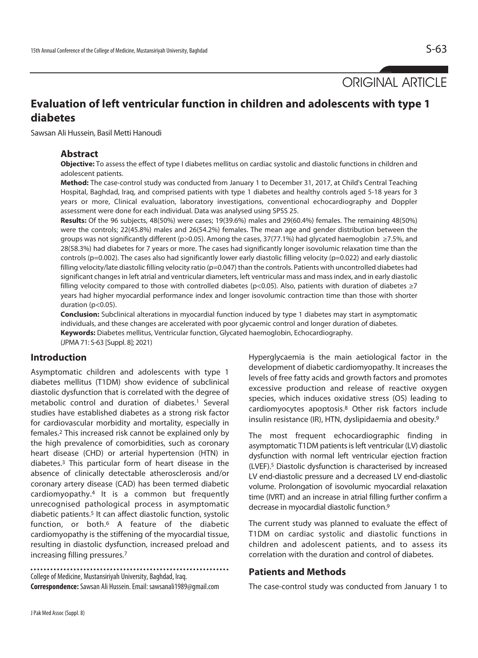ORIGINAL ARTICLE

# **Evaluation of left ventricular function in children and adolescents with type 1 diabetes**

Sawsan Ali Hussein, Basil Metti Hanoudi

#### **Abstract**

**Objective:** To assess the effect of type I diabetes mellitus on cardiac systolic and diastolic functions in children and adolescent patients.

**Method:** The case-control study was conducted from January 1 to December 31, 2017, at Child's Central Teaching Hospital, Baghdad, Iraq, and comprised patients with type 1 diabetes and healthy controls aged 5-18 years for 3 years or more, Clinical evaluation, laboratory investigations, conventional echocardiography and Doppler assessment were done for each individual. Data was analysed using SPSS 25.

**Results:** Of the 96 subjects, 48(50%) were cases; 19(39.6%) males and 29(60.4%) females. The remaining 48(50%) were the controls; 22(45.8%) males and 26(54.2%) females. The mean age and gender distribution between the groups was not significantly different (p>0.05). Among the cases, 37(77.1%) had glycated haemoglobin ≥7.5%, and 28(58.3%) had diabetes for 7 years or more. The cases had significantly longer isovolumic relaxation time than the controls (p=0.002). The cases also had significantly lower early diastolic filling velocity (p=0.022) and early diastolic filling velocity/late diastolic filling velocity ratio (p=0.047) than the controls. Patients with uncontrolled diabetes had significant changes in left atrial and ventricular diameters, left ventricular mass and mass index, and in early diastolic filling velocity compared to those with controlled diabetes (p<0.05). Also, patients with duration of diabetes  $\geq 7$ years had higher myocardial performance index and longer isovolumic contraction time than those with shorter duration (p<0.05).

**Conclusion:** Subclinical alterations in myocardial function induced by type 1 diabetes may start in asymptomatic individuals, and these changes are accelerated with poor glycaemic control and longer duration of diabetes. **Keywords:** Diabetes mellitus, Ventricular function, Glycated haemoglobin, Echocardiography.

(JPMA 71: S-63 [Suppl. 8]; 2021)

### **Introduction**

Asymptomatic children and adolescents with type 1 diabetes mellitus (T1DM) show evidence of subclinical diastolic dysfunction that is correlated with the degree of metabolic control and duration of diabetes.1 Several studies have established diabetes as a strong risk factor for cardiovascular morbidity and mortality, especially in females.2 This increased risk cannot be explained only by the high prevalence of comorbidities, such as coronary heart disease (CHD) or arterial hypertension (HTN) in diabetes.3 This particular form of heart disease in the absence of clinically detectable atherosclerosis and/or coronary artery disease (CAD) has been termed diabetic cardiomyopathy.4 It is a common but frequently unrecognised pathological process in asymptomatic diabetic patients.5 It can affect diastolic function, systolic function, or both.6 A feature of the diabetic cardiomyopathy is the stiffening of the myocardial tissue, resulting in diastolic dysfunction, increased preload and increasing filling pressures.7

College of Medicine, Mustansiriyah University, Baghdad, Iraq. **Correspondence:** Sawsan Ali Hussein. Email: sawsanali1989@gmail.com

Hyperglycaemia is the main aetiological factor in the development of diabetic cardiomyopathy. It increases the levels of free fatty acids and growth factors and promotes excessive production and release of reactive oxygen species, which induces oxidative stress (OS) leading to cardiomyocytes apoptosis.8 Other risk factors include insulin resistance (IR), HTN, dyslipidaemia and obesity.9

The most frequent echocardiographic finding in asymptomatic T1DM patients is left ventricular (LV) diastolic dysfunction with normal left ventricular ejection fraction (LVEF).5 Diastolic dysfunction is characterised by increased LV end-diastolic pressure and a decreased LV end-diastolic volume. Prolongation of isovolumic myocardial relaxation time (IVRT) and an increase in atrial filling further confirm a decrease in myocardial diastolic function.9

The current study was planned to evaluate the effect of T1DM on cardiac systolic and diastolic functions in children and adolescent patients, and to assess its correlation with the duration and control of diabetes.

#### **Patients and Methods**

The case-control study was conducted from January 1 to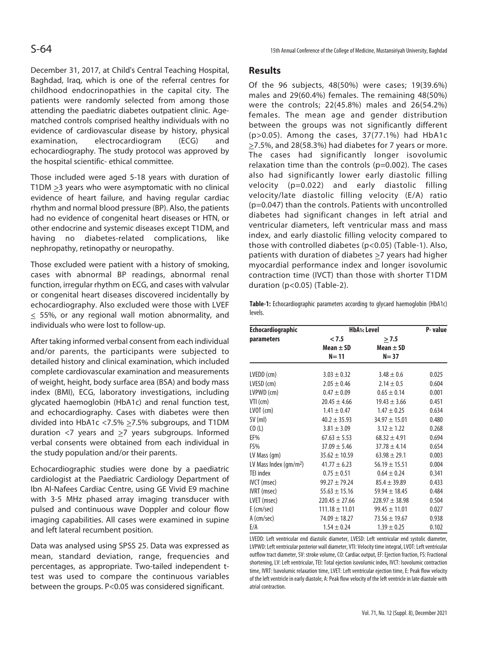December 31, 2017, at Child's Central Teaching Hospital, Baghdad, Iraq, which is one of the referral centres for childhood endocrinopathies in the capital city. The patients were randomly selected from among those attending the paediatric diabetes outpatient clinic. Agematched controls comprised healthy individuals with no evidence of cardiovascular disease by history, physical examination, electrocardiogram (ECG) and echocardiography. The study protocol was approved by the hospital scientific- ethical committee.

Those included were aged 5-18 years with duration of T1DM  $\geq$ 3 years who were asymptomatic with no clinical evidence of heart failure, and having regular cardiac rhythm and normal blood pressure (BP). Also, the patients had no evidence of congenital heart diseases or HTN, or other endocrine and systemic diseases except T1DM, and having no diabetes-related complications, like nephropathy, retinopathy or neuropathy.

Those excluded were patient with a history of smoking, cases with abnormal BP readings, abnormal renal function, irregular rhythm on ECG, and cases with valvular or congenital heart diseases discovered incidentally by echocardiography. Also excluded were those with LVEF  $\leq$  55%, or any regional wall motion abnormality, and individuals who were lost to follow-up.

After taking informed verbal consent from each individual and/or parents, the participants were subjected to detailed history and clinical examination, which included complete cardiovascular examination and measurements of weight, height, body surface area (BSA) and body mass index (BMI), ECG, laboratory investigations, including glycated haemoglobin (HbA1c) and renal function test, and echocardiography. Cases with diabetes were then divided into HbA1c <7.5%  $\geq$ 7.5% subgroups, and T1DM duration  $\langle 7 \rangle$  years and  $\geq 7$  years subgroups. Informed verbal consents were obtained from each individual in the study population and/or their parents.

Echocardiographic studies were done by a paediatric cardiologist at the Paediatric Cardiology Department of Ibn Al-Nafees Cardiac Centre, using GE Vivid E9 machine with 3-5 MHz phased array imaging transducer with pulsed and continuous wave Doppler and colour flow imaging capabilities. All cases were examined in supine and left lateral recumbent position.

Data was analysed using SPSS 25. Data was expressed as mean, standard deviation, range, frequencies and percentages, as appropriate. Two-tailed independent ttest was used to compare the continuous variables between the groups. P<0.05 was considered significant.

### **Results**

Of the 96 subjects, 48(50%) were cases; 19(39.6%) males and 29(60.4%) females. The remaining 48(50%) were the controls; 22(45.8%) males and 26(54.2%) females. The mean age and gender distribution between the groups was not significantly different (p>0.05). Among the cases, 37(77.1%) had HbA1c  $\geq$ 7.5%, and 28(58.3%) had diabetes for 7 years or more. The cases had significantly longer isovolumic relaxation time than the controls (p=0.002). The cases also had significantly lower early diastolic filling velocity (p=0.022) and early diastolic filling velocity/late diastolic filling velocity (E/A) ratio (p=0.047) than the controls. Patients with uncontrolled diabetes had significant changes in left atrial and ventricular diameters, left ventricular mass and mass index, and early diastolic filling velocity compared to those with controlled diabetes (p<0.05) (Table-1). Also, patients with duration of diabetes  $\geq$ 7 years had higher myocardial performance index and longer isovolumic contraction time (IVCT) than those with shorter T1DM duration (p<0.05) (Table-2).

**Table-1:** Echocardiographic parameters according to glycaed haemoglobin (HbA1c) levels.

| <b>Echocardiographic</b>                     | <b>HbA1c Level</b> |                   | P-value |
|----------------------------------------------|--------------------|-------------------|---------|
| parameters                                   | < 7.5              | > 7.5             |         |
|                                              | Mean $\pm$ SD      | Mean $\pm$ SD     |         |
|                                              | $N = 11$           | $N = 37$          |         |
| LVEDD (cm)                                   | $3.03 \pm 0.32$    | $3.48 \pm 0.6$    | 0.025   |
| LVESD (cm)                                   | $2.05 \pm 0.46$    | $2.14 \pm 0.5$    | 0.604   |
| LVPWD (cm)                                   | $0.47 \pm 0.09$    | $0.65 \pm 0.14$   | 0.001   |
| VTI (cm)                                     | $20.45 \pm 4.66$   | $19.43 \pm 3.66$  | 0.451   |
| $LVOT$ (cm)                                  | $1.41 \pm 0.47$    | $1.47 \pm 0.25$   | 0.634   |
| SV (ml)                                      | $40.2 \pm 35.93$   | $34.97 \pm 15.01$ | 0.480   |
| CO(L)                                        | $3.81 \pm 3.09$    | $3.12 \pm 1.22$   | 0.268   |
| EF%                                          | $67.63 \pm 5.53$   | $68.32 \pm 4.91$  | 0.694   |
| FS%                                          | $37.09 \pm 5.46$   | $37.78 \pm 4.14$  | 0.654   |
| LV Mass (gm)                                 | $35.62 \pm 10.59$  | $63.98 \pm 29.1$  | 0.003   |
| LV Mass Index $\frac{\text{qm}}{\text{m}^2}$ | $41.77 \pm 6.23$   | $56.19 \pm 15.51$ | 0.004   |
| TEI index                                    | $0.75 \pm 0.51$    | $0.64 \pm 0.24$   | 0.341   |
| IVCT (msec)                                  | $99.27 \pm 79.24$  | $85.4 \pm 39.89$  | 0.433   |
| IVRT (msec)                                  | $55.63 \pm 15.16$  | $59.94 \pm 18.45$ | 0.484   |
| LVET (msec)                                  | $220.45 \pm 27.66$ | $228.97 + 38.98$  | 0.504   |
| $E$ (cm/sec)                                 | $111.18 \pm 11.01$ | $99.45 \pm 11.01$ | 0.027   |
| A (cm/sec)                                   | $74.09 \pm 18.27$  | $73.56 \pm 19.67$ | 0.938   |
| E/A                                          | $1.54 \pm 0.24$    | $1.39 \pm 0.25$   | 0.102   |

LVEDD: Left ventricular end diastolic diameter, LVESD: Left ventricular end systolic diameter, LVPWD: Left ventricular posterior wall diameter, VTI: Velocity time integral, LVOT: Left ventricular outflow tract diameter, SV: stroke volume, CO: Cardiac output, EF: Ejection fraction, FS: Fractional shortening, LV: Left ventricular, TEI: Total ejection isovolumic index, IVCT: Isovolumic contraction time, IVRT: Isovolumic relaxation time, LVET: Left ventricular ejection time, E: Peak flow velocity of the left ventricle in early diastole, A: Peak flow velocity of the left ventricle in late diastole with atrial contraction.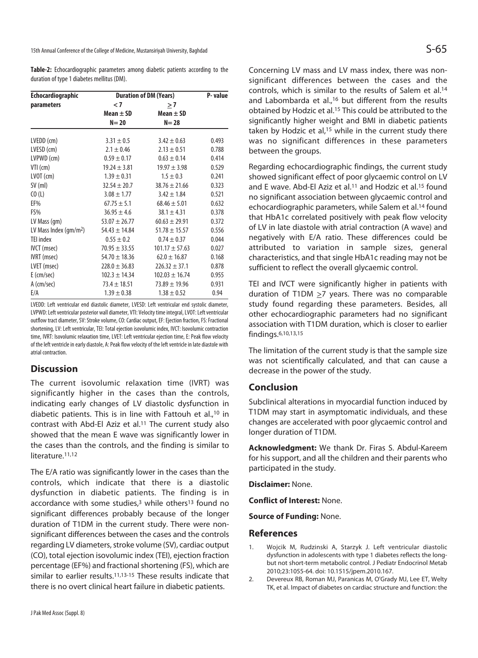15th Annual Conference of the College of Medicine, Mustansiriyah University, Baghdad  $\mathsf{S}\text{-}\mathsf{6}\text{-}$ 

**Table-2:** Echocardiographic parameters among diabetic patients according to the duration of type 1 diabetes mellitus (DM).

| <b>Echocardiographic</b>                     | <b>Duration of DM (Years)</b> |                    | P-value |
|----------------------------------------------|-------------------------------|--------------------|---------|
| parameters                                   | $\leq 7$                      | >7                 |         |
|                                              | Mean $\pm$ SD                 | Mean $\pm$ SD      |         |
|                                              | $N=20$                        | $N=28$             |         |
| LVEDD (cm)                                   | $3.31 \pm 0.5$                | $3.42 \pm 0.63$    | 0.493   |
| LVESD (cm)                                   | $2.1 \pm 0.46$                | $2.13 \pm 0.51$    | 0.788   |
| LVPWD (cm)                                   | $0.59 \pm 0.17$               | $0.63 \pm 0.14$    | 0.414   |
| $VII$ (cm)                                   | $19.24 \pm 3.81$              | $19.97 \pm 3.98$   | 0.529   |
| $LVOT$ (cm)                                  | $1.39 \pm 0.31$               | $1.5 \pm 0.3$      | 0.241   |
| $SV$ (ml)                                    | $32.54 \pm 20.7$              | $38.76 \pm 21.66$  | 0.323   |
| CO(L)                                        | $3.08 \pm 1.77$               | $3.42 \pm 1.84$    | 0.521   |
| EF%                                          | $67.75 \pm 5.1$               | $68.46 \pm 5.01$   | 0.632   |
| FS%                                          | $36.95 \pm 4.6$               | $38.1 \pm 4.31$    | 0.378   |
| LV Mass (gm)                                 | $53.07 \pm 26.77$             | $60.63 \pm 29.91$  | 0.372   |
| LV Mass Index $\frac{\text{qm}}{\text{m}^2}$ | $54.43 \pm 14.84$             | $51.78 \pm 15.57$  | 0.556   |
| <b>TEI</b> index                             | $0.55 \pm 0.2$                | $0.74 \pm 0.37$    | 0.044   |
| IVCT (msec)                                  | $70.95 \pm 33.55$             | $101.17 \pm 57.63$ | 0.027   |
| IVRT (msec)                                  | $54.70 \pm 18.36$             | $62.0 \pm 16.87$   | 0.168   |
| LVET (msec)                                  | $228.0 \pm 36.83$             | $226.32 \pm 37.1$  | 0.878   |
| $E$ (cm/sec)                                 | $102.3 \pm 14.34$             | $102.03 \pm 16.74$ | 0.955   |
| A (cm/sec)                                   | $73.4 \pm 18.51$              | $73.89 \pm 19.96$  | 0.931   |
| E/A                                          | $1.39 \pm 0.38$               | $1.38 \pm 0.52$    | 0.94    |

LVEDD: Left ventricular end diastolic diameter, LVESD: Left ventricular end systolic diameter, LVPWD: Left ventricular posterior wall diameter, VTI: Velocity time integral, LVOT: Left ventricular outflow tract diameter, SV: Stroke volume, CO: Cardiac output, EF: Ejection fraction, FS: Fractional shortening, LV: Left ventricular, TEI: Total ejection isovolumic index, IVCT: Isovolumic contraction time, IVRT: Isovolumic relaxation time, LVET: Left ventricular ejection time, E: Peak flow velocity of the left ventricle in early diastole, A: Peak flow velocity of the left ventricle in late diastole with atrial contraction.

# **Discussion**

The current isovolumic relaxation time (IVRT) was significantly higher in the cases than the controls, indicating early changes of LV diastolic dysfunction in diabetic patients. This is in line with Fattouh et al.,10 in contrast with Abd-El Aziz et al.11 The current study also showed that the mean E wave was significantly lower in the cases than the controls, and the finding is similar to literature.<sup>11,12</sup>

The E/A ratio was significantly lower in the cases than the controls, which indicate that there is a diastolic dysfunction in diabetic patients. The finding is in accordance with some studies,<sup>3</sup> while others<sup>13</sup> found no significant differences probably because of the longer duration of T1DM in the current study. There were nonsignificant differences between the cases and the controls regarding LV diameters, stroke volume (SV), cardiac output (CO), total ejection isovolumic index (TEI), ejection fraction percentage (EF%) and fractional shortening (FS), which are similar to earlier results.<sup>11,13-15</sup> These results indicate that there is no overt clinical heart failure in diabetic patients.

Concerning LV mass and LV mass index, there was nonsignificant differences between the cases and the controls, which is similar to the results of Salem et al.14 and Labombarda et al.,<sup>16</sup> but different from the results obtained by Hodzic et al.15 This could be attributed to the significantly higher weight and BMI in diabetic patients taken by Hodzic et al,<sup>15</sup> while in the current study there was no significant differences in these parameters between the groups.

Regarding echocardiographic findings, the current study showed significant effect of poor glycaemic control on LV and E wave. Abd-El Aziz et al.<sup>11</sup> and Hodzic et al.<sup>15</sup> found no significant association between glycaemic control and echocardiographic parameters, while Salem et al.14 found that HbA1c correlated positively with peak flow velocity of LV in late diastole with atrial contraction (A wave) and negatively with E/A ratio. These differences could be attributed to variation in sample sizes, general characteristics, and that single HbA1c reading may not be sufficient to reflect the overall glycaemic control.

TEI and IVCT were significantly higher in patients with duration of T1DM  $\geq$ 7 years. There was no comparable study found regarding these parameters. Besides, all other echocardiographic parameters had no significant association with T1DM duration, which is closer to earlier findings.6,10,13,15

The limitation of the current study is that the sample size was not scientifically calculated, and that can cause a decrease in the power of the study.

# **Conclusion**

Subclinical alterations in myocardial function induced by T1DM may start in asymptomatic individuals, and these changes are accelerated with poor glycaemic control and longer duration of T1DM.

**Acknowledgment:** We thank Dr. Firas S. Abdul-Kareem for his support, and all the children and their parents who participated in the study.

**Disclaimer:** None.

**Conflict of Interest:** None.

**Source of Funding:** None.

### **References**

- 1. Wojcik M, Rudzinski A, Starzyk J. Left ventricular diastolic dysfunction in adolescents with type 1 diabetes reflects the longbut not short-term metabolic control. J Pediatr Endocrinol Metab 2010;23:1055-64. doi: 10.1515/jpem.2010.167.
- 2. Devereux RB, Roman MJ, Paranicas M, O'Grady MJ, Lee ET, Welty TK, et al. Impact of diabetes on cardiac structure and function: the